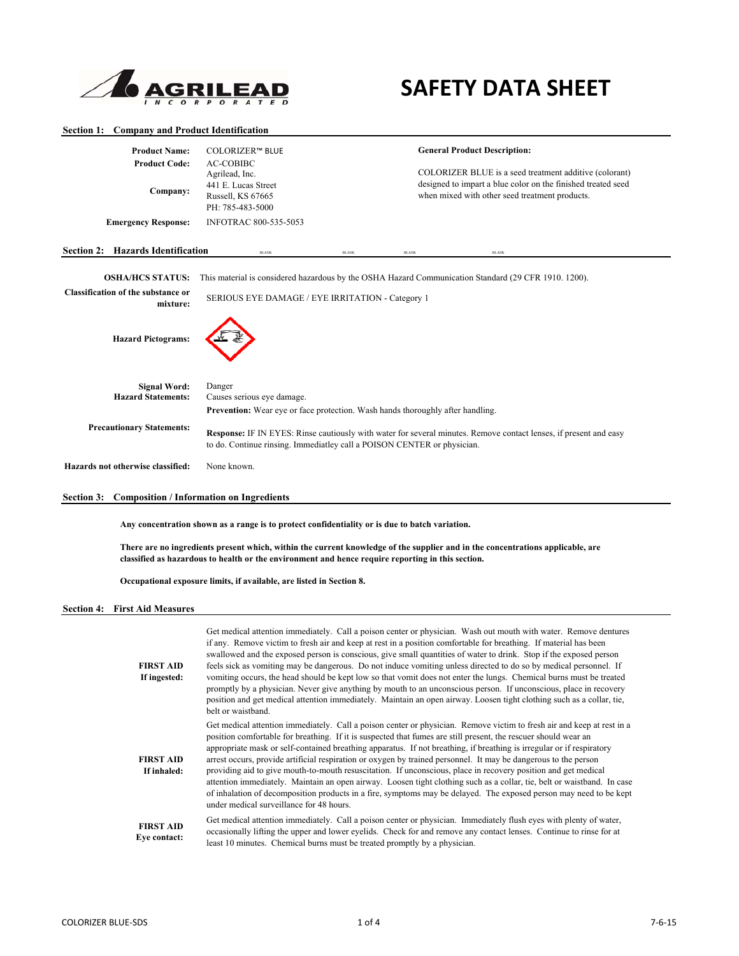

# **SAFETY DATA SHEET**

### **Section 1: Company and Product Identification**

| <b>Product Name:</b><br><b>Product Code:</b><br>Company:<br><b>Emergency Response:</b> | <b>COLORIZER™ BLUE</b><br><b>AC-COBIBC</b><br>Agrilead, Inc.<br>441 E. Lucas Street<br>Russell, KS 67665<br>PH: 785-483-5000<br><b>INFOTRAC 800-535-5053</b>                                                                                                                          |              |              | <b>General Product Description:</b><br>COLORIZER BLUE is a seed treatment additive (colorant)<br>designed to impart a blue color on the finished treated seed<br>when mixed with other seed treatment products. |  |
|----------------------------------------------------------------------------------------|---------------------------------------------------------------------------------------------------------------------------------------------------------------------------------------------------------------------------------------------------------------------------------------|--------------|--------------|-----------------------------------------------------------------------------------------------------------------------------------------------------------------------------------------------------------------|--|
| <b>Section 2: Hazards Identification</b>                                               | <b>BLANK</b>                                                                                                                                                                                                                                                                          | <b>BLANK</b> | <b>BLANK</b> | <b>BLANK</b>                                                                                                                                                                                                    |  |
| <b>OSHA/HCS STATUS:</b>                                                                |                                                                                                                                                                                                                                                                                       |              |              | This material is considered hazardous by the OSHA Hazard Communication Standard (29 CFR 1910, 1200).                                                                                                            |  |
| Classification of the substance or<br>mixture:                                         | SERIOUS EYE DAMAGE / EYE IRRITATION - Category 1                                                                                                                                                                                                                                      |              |              |                                                                                                                                                                                                                 |  |
| <b>Hazard Pictograms:</b>                                                              |                                                                                                                                                                                                                                                                                       |              |              |                                                                                                                                                                                                                 |  |
| <b>Signal Word:</b><br><b>Hazard Statements:</b>                                       | Danger<br>Causes serious eye damage.                                                                                                                                                                                                                                                  |              |              |                                                                                                                                                                                                                 |  |
| <b>Precautionary Statements:</b>                                                       | <b>Prevention:</b> Wear eye or face protection. Wash hands thoroughly after handling.<br>Response: IF IN EYES: Rinse cautiously with water for several minutes. Remove contact lenses, if present and easy<br>to do. Continue rinsing. Immediatley call a POISON CENTER or physician. |              |              |                                                                                                                                                                                                                 |  |
| Hazards not otherwise classified:                                                      | None known.                                                                                                                                                                                                                                                                           |              |              |                                                                                                                                                                                                                 |  |

# **Section 3: Composition / Information on Ingredients**

**Any concentration shown as a range is to protect confidentiality or is due to batch variation.** 

**There are no ingredients present which, within the current knowledge of the supplier and in the concentrations applicable, are classified as hazardous to health or the environment and hence require reporting in this section.** 

**Occupational exposure limits, if available, are listed in Section 8.**

#### **Section 4: First Aid Measures**

| <b>FIRST AID</b><br>If ingested: | Get medical attention immediately. Call a poison center or physician. Wash out mouth with water. Remove dentures<br>if any. Remove victim to fresh air and keep at rest in a position comfortable for breathing. If material has been<br>swallowed and the exposed person is conscious, give small quantities of water to drink. Stop if the exposed person<br>feels sick as vomiting may be dangerous. Do not induce vomiting unless directed to do so by medical personnel. If<br>vomiting occurs, the head should be kept low so that vomit does not enter the lungs. Chemical burns must be treated<br>promptly by a physician. Never give anything by mouth to an unconscious person. If unconscious, place in recovery<br>position and get medical attention immediately. Maintain an open airway. Loosen tight clothing such as a collar, tie,<br>belt or waistband.                          |
|----------------------------------|------------------------------------------------------------------------------------------------------------------------------------------------------------------------------------------------------------------------------------------------------------------------------------------------------------------------------------------------------------------------------------------------------------------------------------------------------------------------------------------------------------------------------------------------------------------------------------------------------------------------------------------------------------------------------------------------------------------------------------------------------------------------------------------------------------------------------------------------------------------------------------------------------|
| <b>FIRST AID</b><br>If inhaled:  | Get medical attention immediately. Call a poison center or physician. Remove victim to fresh air and keep at rest in a<br>position comfortable for breathing. If it is suspected that fumes are still present, the rescuer should wear an<br>appropriate mask or self-contained breathing apparatus. If not breathing, if breathing is irregular or if respiratory<br>arrest occurs, provide artificial respiration or oxygen by trained personnel. It may be dangerous to the person<br>providing aid to give mouth-to-mouth resuscitation. If unconscious, place in recovery position and get medical<br>attention immediately. Maintain an open airway. Loosen tight clothing such as a collar, tie, belt or waistband. In case<br>of inhalation of decomposition products in a fire, symptoms may be delayed. The exposed person may need to be kept<br>under medical surveillance for 48 hours. |
| <b>FIRST AID</b><br>Eve contact: | Get medical attention immediately. Call a poison center or physician. Immediately flush eyes with plenty of water,<br>occasionally lifting the upper and lower evelids. Check for and remove any contact lenses. Continue to rinse for at<br>least 10 minutes. Chemical burns must be treated promptly by a physician.                                                                                                                                                                                                                                                                                                                                                                                                                                                                                                                                                                               |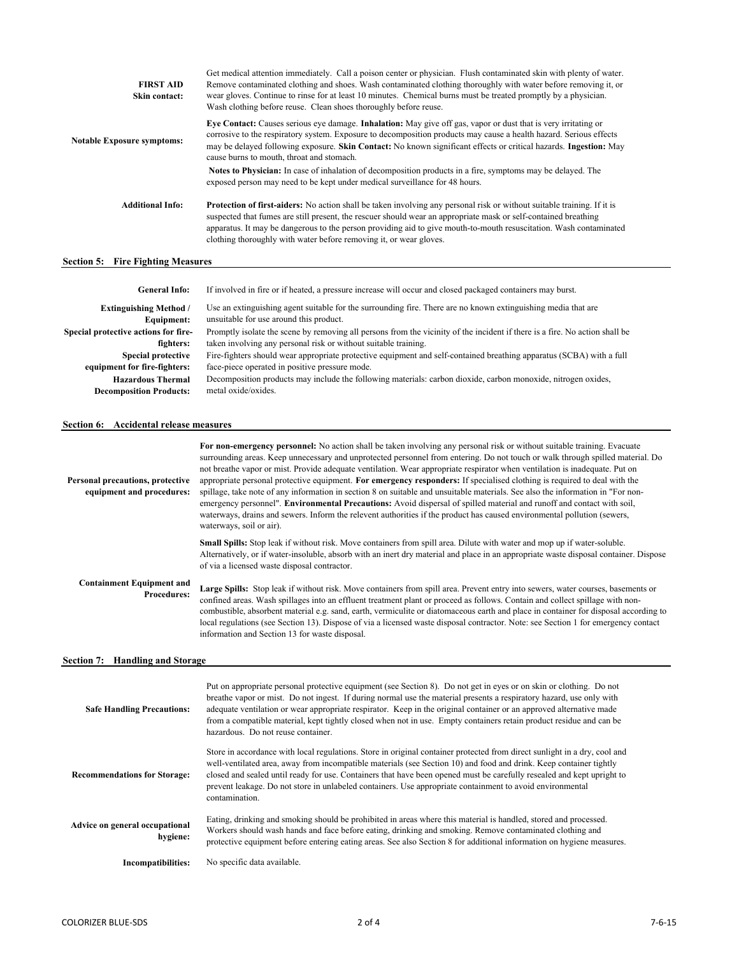| <b>FIRST AID</b><br>Skin contact: | Get medical attention immediately. Call a poison center or physician. Flush contaminated skin with plenty of water.<br>Remove contaminated clothing and shoes. Wash contaminated clothing thoroughly with water before removing it, or<br>wear gloves. Continue to rinse for at least 10 minutes. Chemical burns must be treated promptly by a physician.<br>Wash clothing before reuse. Clean shoes thoroughly before reuse.                 |
|-----------------------------------|-----------------------------------------------------------------------------------------------------------------------------------------------------------------------------------------------------------------------------------------------------------------------------------------------------------------------------------------------------------------------------------------------------------------------------------------------|
| <b>Notable Exposure symptoms:</b> | Eye Contact: Causes serious eye damage. Inhalation: May give off gas, vapor or dust that is very irritating or<br>corrosive to the respiratory system. Exposure to decomposition products may cause a health hazard. Serious effects<br>may be delayed following exposure. Skin Contact: No known significant effects or critical hazards. Ingestion: May<br>cause burns to mouth, throat and stomach.                                        |
|                                   | Notes to Physician: In case of inhalation of decomposition products in a fire, symptoms may be delayed. The<br>exposed person may need to be kept under medical surveillance for 48 hours.                                                                                                                                                                                                                                                    |
| <b>Additional Info:</b>           | <b>Protection of first-aiders:</b> No action shall be taken involving any personal risk or without suitable training. If it is<br>suspected that fumes are still present, the rescuer should wear an appropriate mask or self-contained breathing<br>apparatus. It may be dangerous to the person providing aid to give mouth-to-mouth resuscitation. Wash contaminated<br>clothing thoroughly with water before removing it, or wear gloves. |

# **Section 5: Fire Fighting Measures**

| <b>General Info:</b>                 | If involved in fire or if heated, a pressure increase will occur and closed packaged containers may burst.                  |
|--------------------------------------|-----------------------------------------------------------------------------------------------------------------------------|
| <b>Extinguishing Method</b> /        | Use an extinguishing agent suitable for the surrounding fire. There are no known extinguishing media that are               |
| Equipment:                           | unsuitable for use around this product.                                                                                     |
| Special protective actions for fire- | Promptly isolate the scene by removing all persons from the vicinity of the incident if there is a fire. No action shall be |
| fighters:                            | taken involving any personal risk or without suitable training.                                                             |
| <b>Special protective</b>            | Fire-fighters should wear appropriate protective equipment and self-contained breathing apparatus (SCBA) with a full        |
| equipment for fire-fighters:         | face-piece operated in positive pressure mode.                                                                              |
| <b>Hazardous Thermal</b>             | Decomposition products may include the following materials: carbon dioxide, carbon monoxide, nitrogen oxides,               |
| <b>Decomposition Products:</b>       | metal oxide/oxides.                                                                                                         |

# **Section 6: Accidental release measures**

| Personal precautions, protective<br>equipment and procedures: | For non-emergency personnel: No action shall be taken involving any personal risk or without suitable training. Evacuate<br>surrounding areas. Keep unnecessary and unprotected personnel from entering. Do not touch or walk through spilled material. Do<br>not breathe vapor or mist. Provide adequate ventilation. Wear appropriate respirator when ventilation is inadequate. Put on<br>appropriate personal protective equipment. For emergency responders: If specialised clothing is required to deal with the<br>spillage, take note of any information in section 8 on suitable and unsuitable materials. See also the information in "For non-<br>emergency personnel". Environmental Precautions: Avoid dispersal of spilled material and runoff and contact with soil,<br>waterways, drains and sewers. Inform the relevent authorities if the product has caused environmental pollution (sewers,<br>waterways, soil or air). |
|---------------------------------------------------------------|---------------------------------------------------------------------------------------------------------------------------------------------------------------------------------------------------------------------------------------------------------------------------------------------------------------------------------------------------------------------------------------------------------------------------------------------------------------------------------------------------------------------------------------------------------------------------------------------------------------------------------------------------------------------------------------------------------------------------------------------------------------------------------------------------------------------------------------------------------------------------------------------------------------------------------------------|
|                                                               | <b>Small Spills:</b> Stop leak if without risk. Move containers from spill area. Dilute with water and mop up if water-soluble.<br>Alternatively, or if water-insoluble, absorb with an inert dry material and place in an appropriate waste disposal container. Dispose<br>of via a licensed waste disposal contractor.                                                                                                                                                                                                                                                                                                                                                                                                                                                                                                                                                                                                                    |
| <b>Containment Equipment and</b><br><b>Procedures:</b>        | Large Spills: Stop leak if without risk. Move containers from spill area. Prevent entry into sewers, water courses, basements or<br>confined areas. Wash spillages into an effluent treatment plant or proceed as follows. Contain and collect spillage with non-<br>combustible, absorbent material e.g. sand, earth, vermiculite or diatomaceous earth and place in container for disposal according to<br>local regulations (see Section 13). Dispose of via a licensed waste disposal contractor. Note: see Section 1 for emergency contact<br>information and Section 13 for waste disposal.                                                                                                                                                                                                                                                                                                                                           |
| Section 7: Handling and Storage                               |                                                                                                                                                                                                                                                                                                                                                                                                                                                                                                                                                                                                                                                                                                                                                                                                                                                                                                                                             |
| <b>Safe Handling Precautions:</b>                             | Put on appropriate personal protective equipment (see Section 8). Do not get in eyes or on skin or clothing. Do not<br>breathe vapor or mist. Do not ingest. If during normal use the material presents a respiratory hazard, use only with<br>adequate ventilation or wear appropriate respirator. Keep in the original container or an approved alternative made<br>from a compatible material, kept tightly closed when not in use. Empty containers retain product residue and can be<br>hazardous. Do not reuse container.                                                                                                                                                                                                                                                                                                                                                                                                             |
| <b>Recommendations for Storage:</b>                           | Store in accordance with local regulations. Store in original container protected from direct sunlight in a dry, cool and<br>well-ventilated area, away from incompatible materials (see Section 10) and food and drink. Keep container tightly<br>closed and sealed until ready for use. Containers that have been opened must be carefully resealed and kept upright to<br>prevent leakage. Do not store in unlabeled containers. Use appropriate containment to avoid environmental<br>contamination.                                                                                                                                                                                                                                                                                                                                                                                                                                    |
| Advice on general occupational<br>hygiene:                    | Eating, drinking and smoking should be prohibited in areas where this material is handled, stored and processed.<br>Workers should wash hands and face before eating, drinking and smoking. Remove contaminated clothing and<br>protective equipment before entering eating areas. See also Section 8 for additional information on hygiene measures.                                                                                                                                                                                                                                                                                                                                                                                                                                                                                                                                                                                       |
| <b>Incompatibilities:</b>                                     | No specific data available.                                                                                                                                                                                                                                                                                                                                                                                                                                                                                                                                                                                                                                                                                                                                                                                                                                                                                                                 |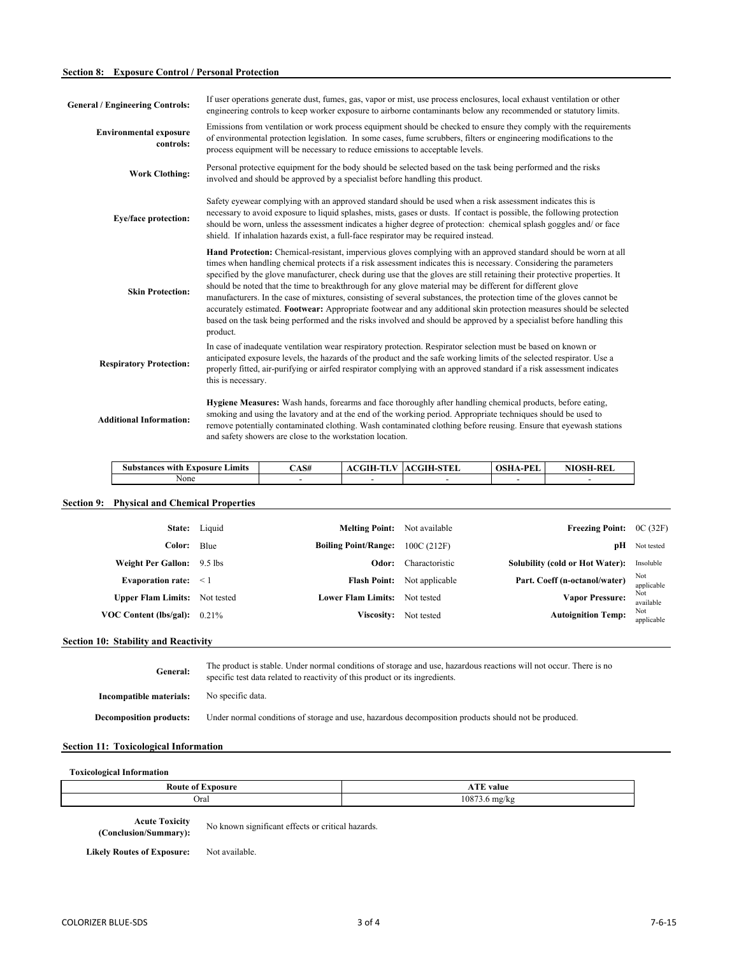# **Section 8: Exposure Control / Personal Protection**

| <b>General / Engineering Controls:</b>     | If user operations generate dust, fumes, gas, vapor or mist, use process enclosures, local exhaust ventilation or other<br>engineering controls to keep worker exposure to airborne contaminants below any recommended or statutory limits.                                                                                                                                                                                                                                                                                                                                                                                                                                                                                                                                                                                                                                 |
|--------------------------------------------|-----------------------------------------------------------------------------------------------------------------------------------------------------------------------------------------------------------------------------------------------------------------------------------------------------------------------------------------------------------------------------------------------------------------------------------------------------------------------------------------------------------------------------------------------------------------------------------------------------------------------------------------------------------------------------------------------------------------------------------------------------------------------------------------------------------------------------------------------------------------------------|
| <b>Environmental exposure</b><br>controls: | Emissions from ventilation or work process equipment should be checked to ensure they comply with the requirements<br>of environmental protection legislation. In some cases, fume scrubbers, filters or engineering modifications to the<br>process equipment will be necessary to reduce emissions to acceptable levels.                                                                                                                                                                                                                                                                                                                                                                                                                                                                                                                                                  |
| <b>Work Clothing:</b>                      | Personal protective equipment for the body should be selected based on the task being performed and the risks<br>involved and should be approved by a specialist before handling this product.                                                                                                                                                                                                                                                                                                                                                                                                                                                                                                                                                                                                                                                                              |
| Eye/face protection:                       | Safety eyewear complying with an approved standard should be used when a risk assessment indicates this is<br>necessary to avoid exposure to liquid splashes, mists, gases or dusts. If contact is possible, the following protection<br>should be worn, unless the assessment indicates a higher degree of protection: chemical splash goggles and/ or face<br>shield. If inhalation hazards exist, a full-face respirator may be required instead.                                                                                                                                                                                                                                                                                                                                                                                                                        |
| <b>Skin Protection:</b>                    | <b>Hand Protection:</b> Chemical-resistant, impervious gloves complying with an approved standard should be worn at all<br>times when handling chemical protects if a risk assessment indicates this is necessary. Considering the parameters<br>specified by the glove manufacturer, check during use that the gloves are still retaining their protective properties. It<br>should be noted that the time to breakthrough for any glove material may be different for different glove<br>manufacturers. In the case of mixtures, consisting of several substances, the protection time of the gloves cannot be<br>accurately estimated. Footwear: Appropriate footwear and any additional skin protection measures should be selected<br>based on the task being performed and the risks involved and should be approved by a specialist before handling this<br>product. |
| <b>Respiratory Protection:</b>             | In case of inadequate ventilation wear respiratory protection. Respirator selection must be based on known or<br>anticipated exposure levels, the hazards of the product and the safe working limits of the selected respirator. Use a<br>properly fitted, air-purifying or airfed respirator complying with an approved standard if a risk assessment indicates<br>this is necessary.                                                                                                                                                                                                                                                                                                                                                                                                                                                                                      |
| <b>Additional Information:</b>             | Hygiene Measures: Wash hands, forearms and face thoroughly after handling chemical products, before eating,<br>smoking and using the lavatory and at the end of the working period. Appropriate techniques should be used to<br>remove potentially contaminated clothing. Wash contaminated clothing before reusing. Ensure that eyewash stations<br>and safety showers are close to the workstation location.                                                                                                                                                                                                                                                                                                                                                                                                                                                              |

| $\sim$<br>Limits<br><b>Substances with</b><br>Exposure | $\triangle$ AS# | <b>ACGIH-TLV</b> | <b>ACGIH-STEL</b> | . D $\mathbf{F}^*$<br><b>OSHA-I</b><br>'LL | <b>NIOSH-REL</b> |
|--------------------------------------------------------|-----------------|------------------|-------------------|--------------------------------------------|------------------|
| None                                                   |                 |                  |                   |                                            |                  |

# **Section 9: Physical and Chemical Properties**

|                   | <b>Freezing Point:</b> $OC(32F)$ |                | <b>Melting Point:</b> Not available  | State: Liquid |                                      |
|-------------------|----------------------------------|----------------|--------------------------------------|---------------|--------------------------------------|
| Not tested        | pН                               | 100C(212F)     | <b>Boiling Point/Range:</b>          | Blue          | Color:                               |
| Insoluble         | Solubility (cold or Hot Water):  | Charactoristic | Odor:                                |               | Weight Per Gallon: 9.5 lbs           |
| Not<br>applicable | Part. Coeff (n-octanol/water)    | Not applicable | <b>Flash Point:</b>                  |               | Evaporation rate: $\leq 1$           |
| Not<br>available  | Vapor Pressure:                  |                | <b>Lower Flam Limits:</b> Not tested |               | <b>Upper Flam Limits:</b> Not tested |
| Not<br>applicable | <b>Autoignition Temp:</b>        | Not tested     | <b>Viscosity:</b>                    |               | VOC Content (lbs/gal): $0.21\%$      |
|                   |                                  |                |                                      |               |                                      |

# **Section 10: Stability and Reactivity**

| General:                       | The product is stable. Under normal conditions of storage and use, hazardous reactions will not occur. There is no<br>specific test data related to reactivity of this product or its ingredients. |
|--------------------------------|----------------------------------------------------------------------------------------------------------------------------------------------------------------------------------------------------|
| Incompatible materials:        | No specific data.                                                                                                                                                                                  |
| <b>Decomposition products:</b> | Under normal conditions of storage and use, hazardous decomposition products should not be produced.                                                                                               |

# **Section 11: Toxicological Information**

# **Toxicological Information**

| Koute<br><b>CHIPS</b><br>$\sim$ | <b>COLOR</b><br>value<br>-23.7 |
|---------------------------------|--------------------------------|
| Oral                            | 1087<br>∍ mg/kg                |

**Acute Toxicity (Conclusion/Summary):**

No known significant effects or critical hazards.

Likely Routes of Exposure: Not available.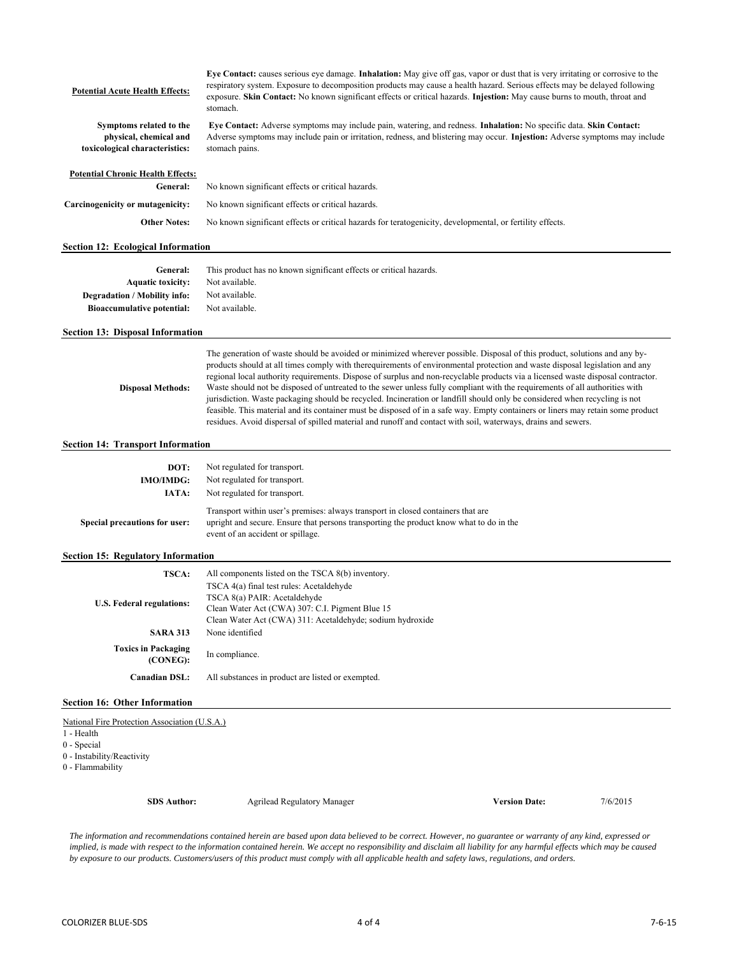#### **Potential Acute Health Effects:**

**Eye Contact:** causes serious eye damage. **Inhalation:** May give off gas, vapor or dust that is very irritating or corrosive to the respiratory system. Exposure to decomposition products may cause a health hazard. Serious effects may be delayed following exposure. **Skin Contact:** No known significant effects or critical hazards. **Injestion:** May cause burns to mouth, throat and stomach.

**Symptoms related to the physical, chemical and toxicological characteristics:**

**Eye Contact:** Adverse symptoms may include pain, watering, and redness. **Inhalation:** No specific data. **Skin Contact:**  Adverse symptoms may include pain or irritation, redness, and blistering may occur. **Injestion:** Adverse symptoms may include stomach pains.

The generation of waste should be avoided or minimized wherever possible. Disposal of this product, solutions and any by-

# **Potential Chronic Health Effects:**

| General:                         | No known significant effects or critical hazards.                                                         |
|----------------------------------|-----------------------------------------------------------------------------------------------------------|
| Carcinogenicity or mutagenicity: | No known significant effects or critical hazards.                                                         |
| <b>Other Notes:</b>              | No known significant effects or critical hazards for teratogenicity, developmental, or fertility effects. |

#### **Section 12: Ecological Information**

| General:                            | This product has no known significant effects or critical hazards. |
|-------------------------------------|--------------------------------------------------------------------|
| <b>Aquatic toxicity:</b>            | Not available.                                                     |
| <b>Degradation / Mobility info:</b> | Not available.                                                     |
| <b>Bioaccumulative potential:</b>   | Not available.                                                     |

#### **Section 13: Disposal Information**

products should at all times comply with therequirements of environmental protection and waste disposal legislation and any regional local authority requirements. Dispose of surplus and non-recyclable products via a licensed waste disposal contractor. Waste should not be disposed of untreated to the sewer unless fully compliant with the requirements of all authorities with jurisdiction. Waste packaging should be recycled. Incineration or landfill should only be considered when recycling is not feasible. This material and its container must be disposed of in a safe way. Empty containers or liners may retain some product residues. Avoid dispersal of spilled material and runoff and contact with soil, waterways, drains and sewers. **Disposal Methods:**

# **Section 14: Transport Information**

| DOT:                          | Not regulated for transport.                                                                                                                                                                                     |  |  |  |  |  |
|-------------------------------|------------------------------------------------------------------------------------------------------------------------------------------------------------------------------------------------------------------|--|--|--|--|--|
| <b>IMO/IMDG:</b>              | Not regulated for transport.                                                                                                                                                                                     |  |  |  |  |  |
| IATA:                         | Not regulated for transport.                                                                                                                                                                                     |  |  |  |  |  |
| Special precautions for user: | Transport within user's premises: always transport in closed containers that are<br>upright and secure. Ensure that persons transporting the product know what to do in the<br>event of an accident or spillage. |  |  |  |  |  |

#### **Section 15: Regulatory Information**

| <b>TSCA:</b>                              | All components listed on the TSCA 8(b) inventory.         |  |  |  |
|-------------------------------------------|-----------------------------------------------------------|--|--|--|
|                                           | TSCA 4(a) final test rules: Acetaldehyde                  |  |  |  |
| U.S. Federal regulations:                 | TSCA 8(a) PAIR: Acetaldehyde                              |  |  |  |
|                                           | Clean Water Act (CWA) 307: C.I. Pigment Blue 15           |  |  |  |
|                                           | Clean Water Act (CWA) 311: Acetaldehyde; sodium hydroxide |  |  |  |
| <b>SARA 313</b>                           | None identified                                           |  |  |  |
| <b>Toxics in Packaging</b><br>$(CONEG)$ : | In compliance.                                            |  |  |  |
| <b>Canadian DSL:</b>                      | All substances in product are listed or exempted.         |  |  |  |

#### **Section 16: Other Information**

National Fire Protection Association (U.S.A.)

1 - Health

0 - Special

0 - Instability/Reactivity

0 - Flammability

**SDS Author: Version Date:** 7/6/2015 Agrilead Regulatory Manager

*The information and recommendations contained herein are based upon data believed to be correct. However, no guarantee or warranty of any kind, expressed or*  implied, is made with respect to the information contained herein. We accept no responsibility and disclaim all liability for any harmful effects which may be caused *by exposure to our products. Customers/users of this product must comply with all applicable health and safety laws, regulations, and orders.*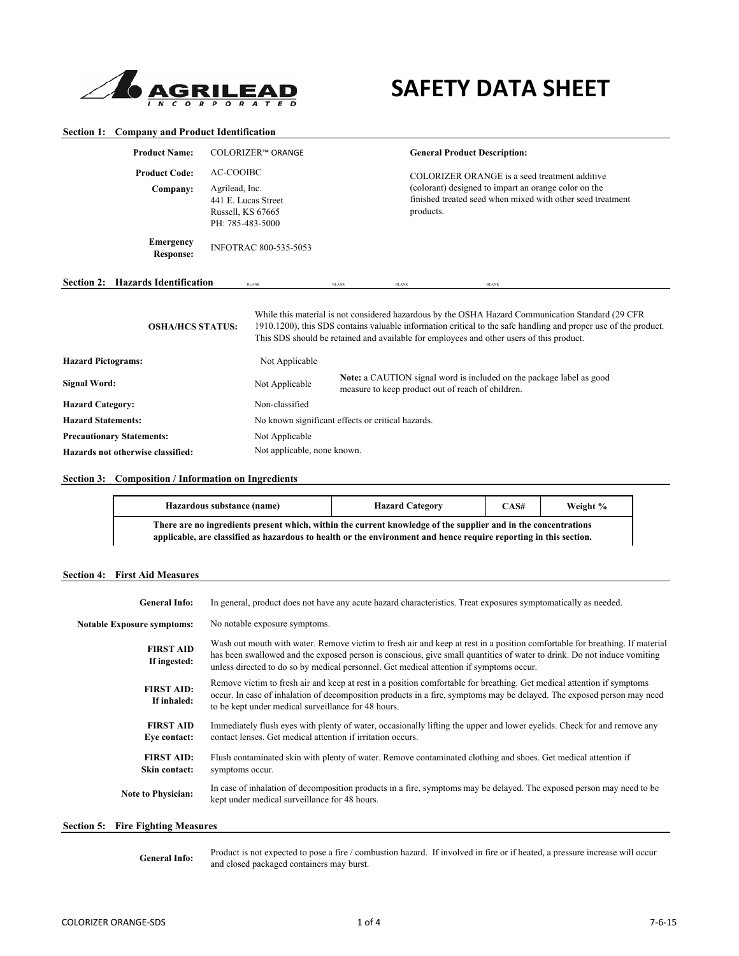

# **SAFETY DATA SHEET**

# **Section 1: Company and Product Identification**

| <b>Product Name:</b>                                             | COLORIZER™ ORANGE                                                                                  |                                                                                                                                                    |              | <b>General Product Description:</b> |                                                                                                                                                                                                                                                                                                                   |  |
|------------------------------------------------------------------|----------------------------------------------------------------------------------------------------|----------------------------------------------------------------------------------------------------------------------------------------------------|--------------|-------------------------------------|-------------------------------------------------------------------------------------------------------------------------------------------------------------------------------------------------------------------------------------------------------------------------------------------------------------------|--|
| <b>Product Code:</b><br>Company:                                 | <b>AC-COOIBC</b><br>Agrilead, Inc.<br>441 E. Lucas Street<br>Russell, KS 67665<br>PH: 785-483-5000 |                                                                                                                                                    |              | products.                           | COLORIZER ORANGE is a seed treatment additive<br>(colorant) designed to impart an orange color on the<br>finished treated seed when mixed with other seed treatment                                                                                                                                               |  |
| <b>Emergency</b><br><b>Response:</b>                             |                                                                                                    | <b>INFOTRAC 800-535-5053</b>                                                                                                                       |              |                                     |                                                                                                                                                                                                                                                                                                                   |  |
| Section 2: Hazards Identification                                |                                                                                                    | <b>BLANK</b>                                                                                                                                       | <b>BLANK</b> | <b>BLANK</b>                        | <b>BLANK</b>                                                                                                                                                                                                                                                                                                      |  |
| <b>OSHA/HCS STATUS:</b>                                          |                                                                                                    |                                                                                                                                                    |              |                                     | While this material is not considered hazardous by the OSHA Hazard Communication Standard (29 CFR)<br>1910.1200), this SDS contains valuable information critical to the safe handling and proper use of the product.<br>This SDS should be retained and available for employees and other users of this product. |  |
| <b>Hazard Pictograms:</b>                                        |                                                                                                    | Not Applicable                                                                                                                                     |              |                                     |                                                                                                                                                                                                                                                                                                                   |  |
| <b>Signal Word:</b>                                              |                                                                                                    | <b>Note:</b> a CAUTION signal word is included on the package label as good<br>Not Applicable<br>measure to keep product out of reach of children. |              |                                     |                                                                                                                                                                                                                                                                                                                   |  |
| <b>Hazard Category:</b>                                          |                                                                                                    | Non-classified                                                                                                                                     |              |                                     |                                                                                                                                                                                                                                                                                                                   |  |
| <b>Hazard Statements:</b>                                        |                                                                                                    | No known significant effects or critical hazards.                                                                                                  |              |                                     |                                                                                                                                                                                                                                                                                                                   |  |
| <b>Precautionary Statements:</b><br>Not Applicable               |                                                                                                    |                                                                                                                                                    |              |                                     |                                                                                                                                                                                                                                                                                                                   |  |
| Not applicable, none known.<br>Hazards not otherwise classified: |                                                                                                    |                                                                                                                                                    |              |                                     |                                                                                                                                                                                                                                                                                                                   |  |

# **Section 3: Composition / Information on Ingredients**

| Hazardous substance (name)                                                                                                                                                                                                          | <b>Hazard Category</b> | CAS# | Weight % |  |  |
|-------------------------------------------------------------------------------------------------------------------------------------------------------------------------------------------------------------------------------------|------------------------|------|----------|--|--|
| There are no ingredients present which, within the current knowledge of the supplier and in the concentrations<br>applicable, are classified as hazardous to health or the environment and hence require reporting in this section. |                        |      |          |  |  |

# **Section 4: First Aid Measures**

| <b>General Info:</b>                     | In general, product does not have any acute hazard characteristics. Treat exposures symptomatically as needed.                                                                                                                                                                                                                                    |
|------------------------------------------|---------------------------------------------------------------------------------------------------------------------------------------------------------------------------------------------------------------------------------------------------------------------------------------------------------------------------------------------------|
| <b>Notable Exposure symptoms:</b>        | No notable exposure symptoms.                                                                                                                                                                                                                                                                                                                     |
| <b>FIRST AID</b><br>If ingested:         | Wash out mouth with water. Remove victim to fresh air and keep at rest in a position comfortable for breathing. If material<br>has been swallowed and the exposed person is conscious, give small quantities of water to drink. Do not induce vomiting<br>unless directed to do so by medical personnel. Get medical attention if symptoms occur. |
| <b>FIRST AID:</b><br>If inhaled:         | Remove victim to fresh air and keep at rest in a position comfortable for breathing. Get medical attention if symptoms<br>occur. In case of inhalation of decomposition products in a fire, symptoms may be delayed. The exposed person may need<br>to be kept under medical surveillance for 48 hours.                                           |
| <b>FIRST AID</b><br>Eye contact:         | Immediately flush eyes with plenty of water, occasionally lifting the upper and lower eyelids. Check for and remove any<br>contact lenses. Get medical attention if irritation occurs.                                                                                                                                                            |
| <b>FIRST AID:</b><br>Skin contact:       | Flush contaminated skin with plenty of water. Remove contaminated clothing and shoes. Get medical attention if<br>symptoms occur.                                                                                                                                                                                                                 |
| <b>Note to Physician:</b>                | In case of inhalation of decomposition products in a fire, symptoms may be delayed. The exposed person may need to be<br>kept under medical surveillance for 48 hours.                                                                                                                                                                            |
| <b>Section 5:</b> Fire Fighting Measures |                                                                                                                                                                                                                                                                                                                                                   |

#### Product is not expected to pose a fire / combustion hazard. If involved in fire or if heated, a pressure increase will occur and closed packaged containers may burst. **General Info:**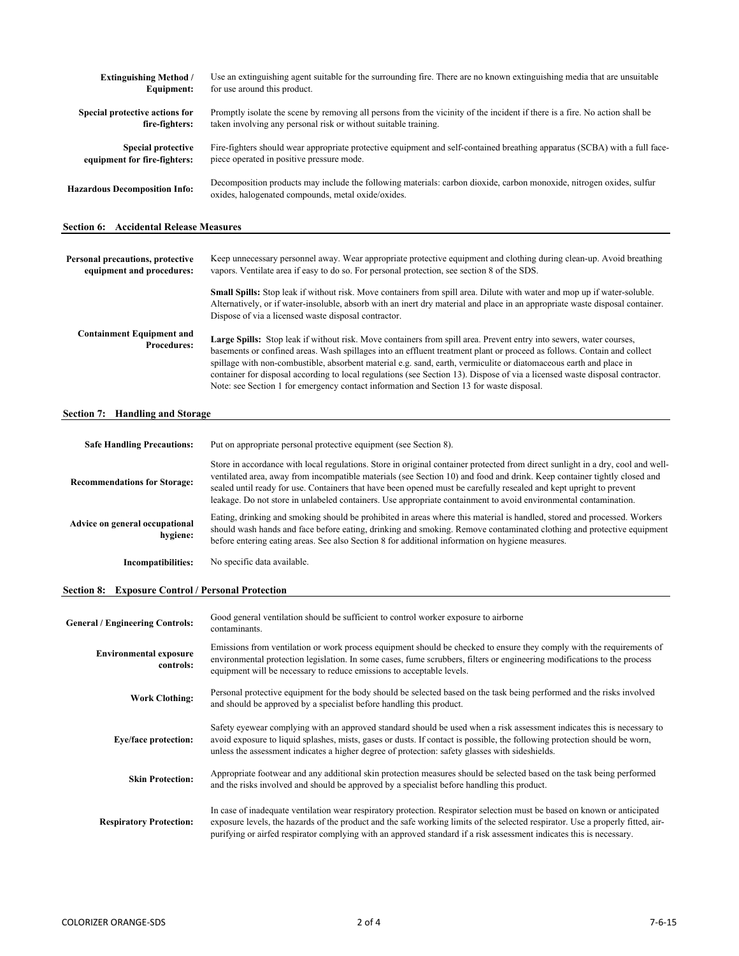| <b>Extinguishing Method</b> /                 | Use an extinguishing agent suitable for the surrounding fire. There are no known extinguishing media that are unsuitable                                                   |
|-----------------------------------------------|----------------------------------------------------------------------------------------------------------------------------------------------------------------------------|
| Equipment:                                    | for use around this product.                                                                                                                                               |
| Special protective actions for                | Promptly isolate the scene by removing all persons from the vicinity of the incident if there is a fire. No action shall be                                                |
| fire-fighters:                                | taken involving any personal risk or without suitable training.                                                                                                            |
| <b>Special protective</b>                     | Fire-fighters should wear appropriate protective equipment and self-contained breathing apparatus (SCBA) with a full face-                                                 |
| equipment for fire-fighters:                  | piece operated in positive pressure mode.                                                                                                                                  |
| <b>Hazardous Decomposition Info:</b>          | Decomposition products may include the following materials: carbon dioxide, carbon monoxide, nitrogen oxides, sulfur<br>oxides, halogenated compounds, metal oxide/oxides. |
| <b>Section 6: Accidental Release Measures</b> |                                                                                                                                                                            |

| Personal precautions, protective<br>equipment and procedures: | Keep unnecessary personnel away. Wear appropriate protective equipment and clothing during clean-up. Avoid breathing<br>vapors. Ventilate area if easy to do so. For personal protection, see section 8 of the SDS.                                                                                                                                                                                                                                                                                                                                                                              |  |  |
|---------------------------------------------------------------|--------------------------------------------------------------------------------------------------------------------------------------------------------------------------------------------------------------------------------------------------------------------------------------------------------------------------------------------------------------------------------------------------------------------------------------------------------------------------------------------------------------------------------------------------------------------------------------------------|--|--|
|                                                               | <b>Small Spills:</b> Stop leak if without risk. Move containers from spill area. Dilute with water and mop up if water-soluble.<br>Alternatively, or if water-insoluble, absorb with an inert dry material and place in an appropriate waste disposal container.<br>Dispose of via a licensed waste disposal contractor.                                                                                                                                                                                                                                                                         |  |  |
| <b>Containment Equipment and</b><br><b>Procedures:</b>        | Large Spills: Stop leak if without risk. Move containers from spill area. Prevent entry into sewers, water courses,<br>basements or confined areas. Wash spillages into an effluent treatment plant or proceed as follows. Contain and collect<br>spillage with non-combustible, absorbent material e.g. sand, earth, vermiculite or diatomaceous earth and place in<br>container for disposal according to local regulations (see Section 13). Dispose of via a licensed waste disposal contractor.<br>Note: see Section 1 for emergency contact information and Section 13 for waste disposal. |  |  |

# **Section 7: Handling and Storage**

| <b>Safe Handling Precautions:</b>          | Put on appropriate personal protective equipment (see Section 8).                                                                                                                                                                                                                                                                                                                                                                                                                                      |  |  |
|--------------------------------------------|--------------------------------------------------------------------------------------------------------------------------------------------------------------------------------------------------------------------------------------------------------------------------------------------------------------------------------------------------------------------------------------------------------------------------------------------------------------------------------------------------------|--|--|
| <b>Recommendations for Storage:</b>        | Store in accordance with local regulations. Store in original container protected from direct sunlight in a dry, cool and well-<br>ventilated area, away from incompatible materials (see Section 10) and food and drink. Keep container tightly closed and<br>sealed until ready for use. Containers that have been opened must be carefully resealed and kept upright to prevent<br>leakage. Do not store in unlabeled containers. Use appropriate containment to avoid environmental contamination. |  |  |
| Advice on general occupational<br>hygiene: | Eating, drinking and smoking should be prohibited in areas where this material is handled, stored and processed. Workers<br>should wash hands and face before eating, drinking and smoking. Remove contaminated clothing and protective equipment<br>before entering eating areas. See also Section 8 for additional information on hygiene measures.                                                                                                                                                  |  |  |
| Incompatibilities:                         | No specific data available.                                                                                                                                                                                                                                                                                                                                                                                                                                                                            |  |  |

# **Section 8: Exposure Control / Personal Protection**

| <b>General / Engineering Controls:</b>     | Good general ventilation should be sufficient to control worker exposure to airborne<br>contaminants.                                                                                                                                                                                                                                                                                |
|--------------------------------------------|--------------------------------------------------------------------------------------------------------------------------------------------------------------------------------------------------------------------------------------------------------------------------------------------------------------------------------------------------------------------------------------|
| <b>Environmental exposure</b><br>controls: | Emissions from ventilation or work process equipment should be checked to ensure they comply with the requirements of<br>environmental protection legislation. In some cases, fume scrubbers, filters or engineering modifications to the process<br>equipment will be necessary to reduce emissions to acceptable levels.                                                           |
| <b>Work Clothing:</b>                      | Personal protective equipment for the body should be selected based on the task being performed and the risks involved<br>and should be approved by a specialist before handling this product.                                                                                                                                                                                       |
| <b>Eye/face protection:</b>                | Safety eyewear complying with an approved standard should be used when a risk assessment indicates this is necessary to<br>avoid exposure to liquid splashes, mists, gases or dusts. If contact is possible, the following protection should be worn,<br>unless the assessment indicates a higher degree of protection: safety glasses with sideshields.                             |
| <b>Skin Protection:</b>                    | Appropriate footwear and any additional skin protection measures should be selected based on the task being performed<br>and the risks involved and should be approved by a specialist before handling this product.                                                                                                                                                                 |
| <b>Respiratory Protection:</b>             | In case of inadequate ventilation wear respiratory protection. Respirator selection must be based on known or anticipated<br>exposure levels, the hazards of the product and the safe working limits of the selected respirator. Use a properly fitted, air-<br>purifying or airfed respirator complying with an approved standard if a risk assessment indicates this is necessary. |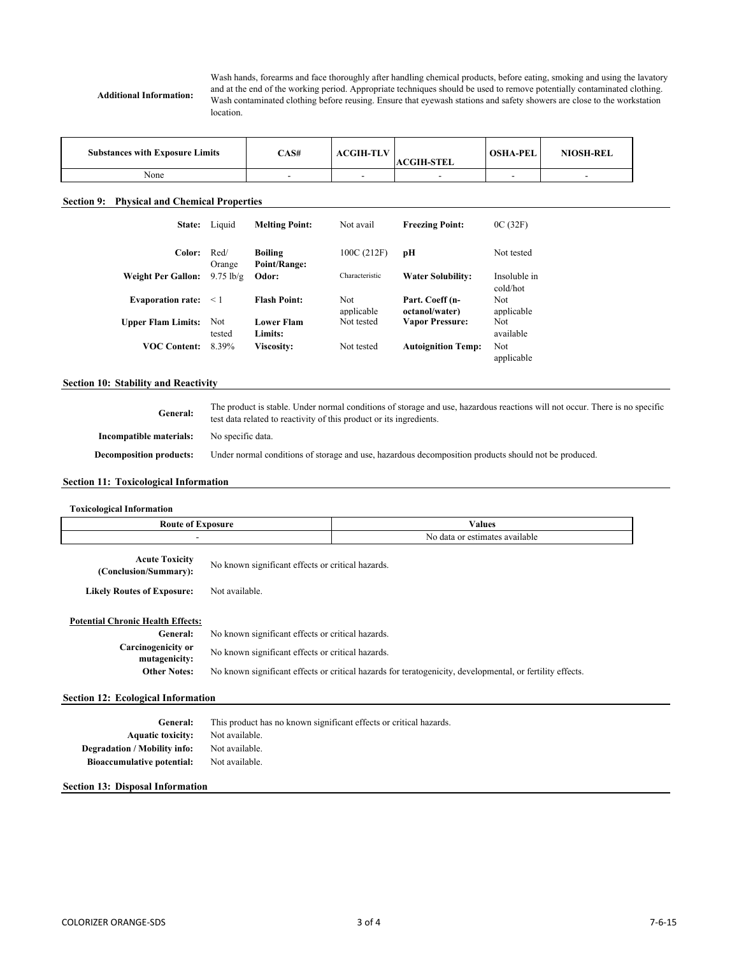**Additional Information:**

Wash hands, forearms and face thoroughly after handling chemical products, before eating, smoking and using the lavatory and at the end of the working period. Appropriate techniques should be used to remove potentially contaminated clothing. Wash contaminated clothing before reusing. Ensure that eyewash stations and safety showers are close to the workstation location.

| <b>Substances with Exposure Limits</b> | CAS# | <b>ACGIH-TLV</b> | <b>ACGIH-STEL</b> | <b>OSHA-PEL</b> | <b>NIOSH-REL</b> |
|----------------------------------------|------|------------------|-------------------|-----------------|------------------|
| None                                   |      |                  |                   |                 |                  |

# **Section 9: Physical and Chemical Properties**

| <b>State:</b>             | Liquid              | <b>Melting Point:</b>          | Not avail         | <b>Freezing Point:</b>            | OC(32F)                  |
|---------------------------|---------------------|--------------------------------|-------------------|-----------------------------------|--------------------------|
| Color:                    | Red/<br>Orange      | <b>Boiling</b><br>Point/Range: | 100C(212F)        | pН                                | Not tested               |
| <b>Weight Per Gallon:</b> | $9.75 \text{ lb/g}$ | Odor:                          | Characteristic    | <b>Water Solubility:</b>          | Insoluble in<br>cold/hot |
| <b>Evaporation rate:</b>  | $\leq 1$            | <b>Flash Point:</b>            | Not<br>applicable | Part. Coeff (n-<br>octanol/water) | Not<br>applicable        |
| <b>Upper Flam Limits:</b> | Not<br>tested       | <b>Lower Flam</b><br>Limits:   | Not tested        | <b>Vapor Pressure:</b>            | Not<br>available         |
| <b>VOC Content:</b>       | 8.39%               | <b>Viscosity:</b>              | Not tested        | <b>Autoignition Temp:</b>         | Not<br>applicable        |

# **Section 10: Stability and Reactivity**

**General: Incompatible materials: Decomposition products:** The product is stable. Under normal conditions of storage and use, hazardous reactions will not occur. There is no specific test data related to reactivity of this product or its ingredients. No specific data. Under normal conditions of storage and use, hazardous decomposition products should not be produced.

# **Section 11: Toxicological Information**

| <b>Toxicological Information</b>                                                                                                                                       |                                                                                                                                                                                                                     |               |  |  |
|------------------------------------------------------------------------------------------------------------------------------------------------------------------------|---------------------------------------------------------------------------------------------------------------------------------------------------------------------------------------------------------------------|---------------|--|--|
| <b>Route of Exposure</b>                                                                                                                                               |                                                                                                                                                                                                                     | <b>Values</b> |  |  |
| ٠                                                                                                                                                                      | No data or estimates available                                                                                                                                                                                      |               |  |  |
| <b>Acute Toxicity</b><br>(Conclusion/Summary):                                                                                                                         | No known significant effects or critical hazards.                                                                                                                                                                   |               |  |  |
| <b>Likely Routes of Exposure:</b>                                                                                                                                      | Not available.                                                                                                                                                                                                      |               |  |  |
| <b>Potential Chronic Health Effects:</b><br>General:<br><b>Carcinogenicity or</b><br>mutagenicity:<br><b>Other Notes:</b><br><b>Section 12: Ecological Information</b> | No known significant effects or critical hazards.<br>No known significant effects or critical hazards.<br>No known significant effects or critical hazards for teratogenicity, developmental, or fertility effects. |               |  |  |
|                                                                                                                                                                        |                                                                                                                                                                                                                     |               |  |  |
| General:                                                                                                                                                               | This product has no known significant effects or critical hazards.                                                                                                                                                  |               |  |  |
| <b>Aquatic toxicity:</b>                                                                                                                                               | Not available.                                                                                                                                                                                                      |               |  |  |
| <b>Degradation / Mobility info:</b>                                                                                                                                    | Not available.                                                                                                                                                                                                      |               |  |  |
| <b>Bioaccumulative potential:</b>                                                                                                                                      | Not available.                                                                                                                                                                                                      |               |  |  |

### **Section 13: Disposal Information**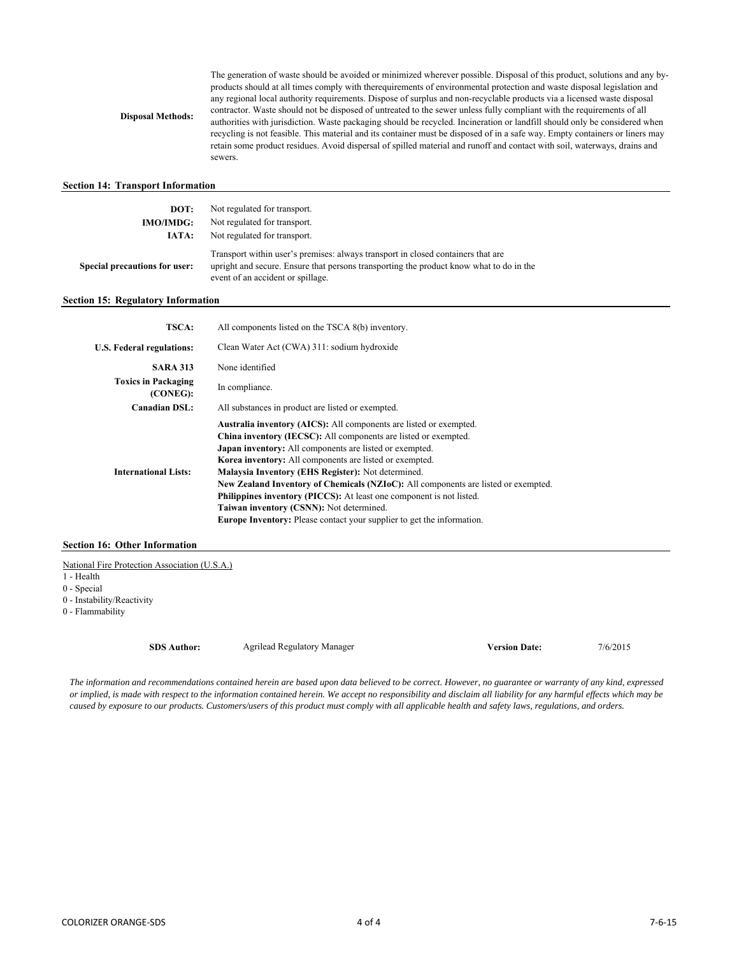**Disposal Methods:**

The generation of waste should be avoided or minimized wherever possible. Disposal of this product, solutions and any byproducts should at all times comply with therequirements of environmental protection and waste disposal legislation and any regional local authority requirements. Dispose of surplus and non-recyclable products via a licensed waste disposal contractor. Waste should not be disposed of untreated to the sewer unless fully compliant with the requirements of all authorities with jurisdiction. Waste packaging should be recycled. Incineration or landfill should only be considered when recycling is not feasible. This material and its container must be disposed of in a safe way. Empty containers or liners may retain some product residues. Avoid dispersal of spilled material and runoff and contact with soil, waterways, drains and sewers.

# **Section 14: Transport Information**

| DOT:<br><b>IMO/IMDG:</b>      | Not regulated for transport.<br>Not regulated for transport.                                                                                                                                                     |
|-------------------------------|------------------------------------------------------------------------------------------------------------------------------------------------------------------------------------------------------------------|
| IATA:                         | Not regulated for transport.                                                                                                                                                                                     |
| Special precautions for user: | Transport within user's premises: always transport in closed containers that are<br>upright and secure. Ensure that persons transporting the product know what to do in the<br>event of an accident or spillage. |

# **Section 15: Regulatory Information**

| <b>TSCA:</b>                           | All components listed on the TSCA 8(b) inventory.                                                                                                                                                                                                                                                                                                                                                                                                                                                                                                                                                                          |
|----------------------------------------|----------------------------------------------------------------------------------------------------------------------------------------------------------------------------------------------------------------------------------------------------------------------------------------------------------------------------------------------------------------------------------------------------------------------------------------------------------------------------------------------------------------------------------------------------------------------------------------------------------------------------|
| U.S. Federal regulations:              | Clean Water Act (CWA) 311: sodium hydroxide                                                                                                                                                                                                                                                                                                                                                                                                                                                                                                                                                                                |
| <b>SARA 313</b>                        | None identified                                                                                                                                                                                                                                                                                                                                                                                                                                                                                                                                                                                                            |
| <b>Toxics in Packaging</b><br>(CONEG): | In compliance.                                                                                                                                                                                                                                                                                                                                                                                                                                                                                                                                                                                                             |
| <b>Canadian DSL:</b>                   | All substances in product are listed or exempted.                                                                                                                                                                                                                                                                                                                                                                                                                                                                                                                                                                          |
| <b>International Lists:</b>            | Australia inventory (AICS): All components are listed or exempted.<br>China inventory (IECSC): All components are listed or exempted.<br><b>Japan inventory:</b> All components are listed or exempted.<br><b>Korea inventory:</b> All components are listed or exempted.<br>Malaysia Inventory (EHS Register): Not determined.<br>New Zealand Inventory of Chemicals (NZIoC): All components are listed or exempted.<br><b>Philippines inventory (PICCS):</b> At least one component is not listed.<br>Taiwan inventory (CSNN): Not determined.<br>Europe Inventory: Please contact your supplier to get the information. |

# **Section 16: Other Information**

National Fire Protection Association (U.S.A.)

- 1 Health
- 0 Special
- 0 Instability/Reactivity

0 - Flammability

**SDS Author: Version Date:** 7/6/2015 Agrilead Regulatory Manager

*The information and recommendations contained herein are based upon data believed to be correct. However, no guarantee or warranty of any kind, expressed or implied, is made with respect to the information contained herein. We accept no responsibility and disclaim all liability for any harmful effects which may be caused by exposure to our products. Customers/users of this product must comply with all applicable health and safety laws, regulations, and orders.*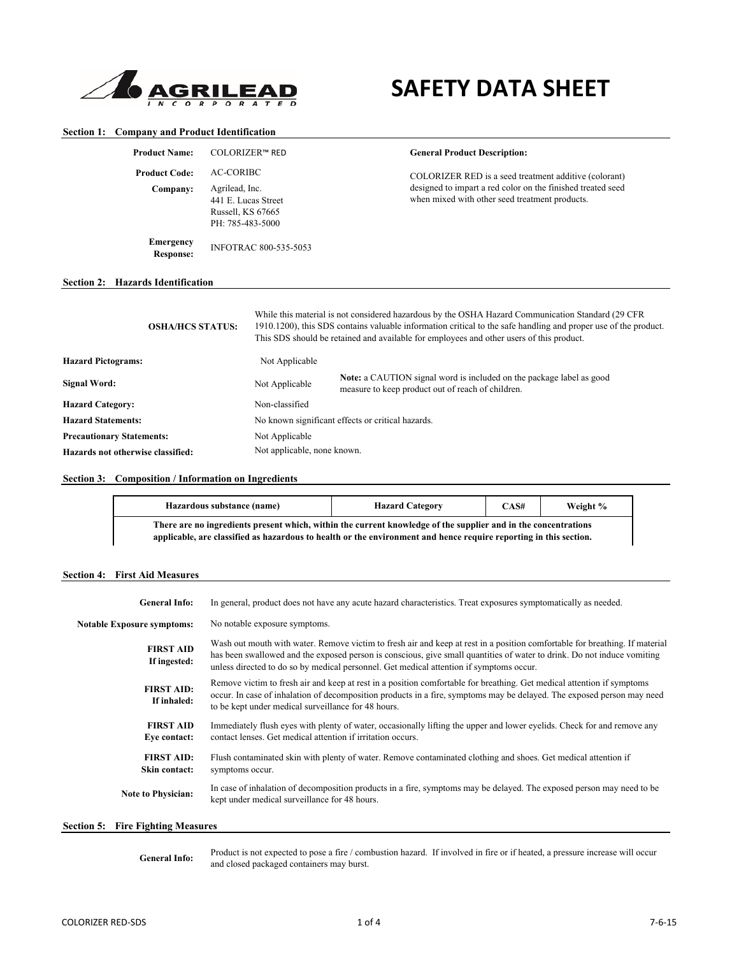

# **SAFETY DATA SHEET**

# **Section 1: Company and Product Identification**

| <b>Product Name:</b>                     |                                                                                             | <b>COLORIZER™ RED</b>        | <b>General Product Description:</b>                                                                                                                                                                                                                                                                              |
|------------------------------------------|---------------------------------------------------------------------------------------------|------------------------------|------------------------------------------------------------------------------------------------------------------------------------------------------------------------------------------------------------------------------------------------------------------------------------------------------------------|
| <b>Product Code:</b>                     | AC-CORIBC<br>Agrilead, Inc.<br>441 E. Lucas Street<br>Russell, KS 67665<br>PH: 785-483-5000 |                              | COLORIZER RED is a seed treatment additive (colorant)                                                                                                                                                                                                                                                            |
| Company:                                 |                                                                                             |                              | designed to impart a red color on the finished treated seed<br>when mixed with other seed treatment products.                                                                                                                                                                                                    |
| <b>Emergency</b><br><b>Response:</b>     |                                                                                             | <b>INFOTRAC 800-535-5053</b> |                                                                                                                                                                                                                                                                                                                  |
| <b>Section 2: Hazards Identification</b> |                                                                                             |                              |                                                                                                                                                                                                                                                                                                                  |
| <b>OSHA/HCS STATUS:</b>                  |                                                                                             |                              | While this material is not considered hazardous by the OSHA Hazard Communication Standard (29 CFR)<br>1910.1200), this SDS contains valuable information critical to the safe handling and proper use of the product.<br>This SDS should be retained and available for employees and other users of this product |

|                                   |                                                   | This SDS should be retained and available for employees and other users of this product.                                  |  |  |  |
|-----------------------------------|---------------------------------------------------|---------------------------------------------------------------------------------------------------------------------------|--|--|--|
| <b>Hazard Pictograms:</b>         | Not Applicable                                    |                                                                                                                           |  |  |  |
| Signal Word:                      | Not Applicable                                    | Note: a CAUTION signal word is included on the package label as good<br>measure to keep product out of reach of children. |  |  |  |
| <b>Hazard Category:</b>           | Non-classified                                    |                                                                                                                           |  |  |  |
| <b>Hazard Statements:</b>         | No known significant effects or critical hazards. |                                                                                                                           |  |  |  |
| <b>Precautionary Statements:</b>  | Not Applicable                                    |                                                                                                                           |  |  |  |
| Hazards not otherwise classified: | Not applicable, none known.                       |                                                                                                                           |  |  |  |

# **Section 3: Composition / Information on Ingredients**

| Hazardous substance (name)                                                                                                                                                                                                          | <b>Hazard Category</b> | CAS# | Weight % |  |  |  |
|-------------------------------------------------------------------------------------------------------------------------------------------------------------------------------------------------------------------------------------|------------------------|------|----------|--|--|--|
| There are no ingredients present which, within the current knowledge of the supplier and in the concentrations<br>applicable, are classified as hazardous to health or the environment and hence require reporting in this section. |                        |      |          |  |  |  |

# **Section 4: First Aid Measures**

| <b>General Info:</b>                     | In general, product does not have any acute hazard characteristics. Treat exposures symptomatically as needed.                                                                                                                                                                                                                                    |
|------------------------------------------|---------------------------------------------------------------------------------------------------------------------------------------------------------------------------------------------------------------------------------------------------------------------------------------------------------------------------------------------------|
| <b>Notable Exposure symptoms:</b>        | No notable exposure symptoms.                                                                                                                                                                                                                                                                                                                     |
| <b>FIRST AID</b><br>If ingested:         | Wash out mouth with water. Remove victim to fresh air and keep at rest in a position comfortable for breathing. If material<br>has been swallowed and the exposed person is conscious, give small quantities of water to drink. Do not induce vomiting<br>unless directed to do so by medical personnel. Get medical attention if symptoms occur. |
| <b>FIRST AID:</b><br>If inhaled:         | Remove victim to fresh air and keep at rest in a position comfortable for breathing. Get medical attention if symptoms<br>occur. In case of inhalation of decomposition products in a fire, symptoms may be delayed. The exposed person may need<br>to be kept under medical surveillance for 48 hours.                                           |
| <b>FIRST AID</b><br>Eye contact:         | Immediately flush eyes with plenty of water, occasionally lifting the upper and lower eyelids. Check for and remove any<br>contact lenses. Get medical attention if irritation occurs.                                                                                                                                                            |
| <b>FIRST AID:</b><br>Skin contact:       | Flush contaminated skin with plenty of water. Remove contaminated clothing and shoes. Get medical attention if<br>symptoms occur.                                                                                                                                                                                                                 |
| <b>Note to Physician:</b>                | In case of inhalation of decomposition products in a fire, symptoms may be delayed. The exposed person may need to be<br>kept under medical surveillance for 48 hours.                                                                                                                                                                            |
| <b>Section 5:</b> Fire Fighting Measures |                                                                                                                                                                                                                                                                                                                                                   |

Product is not expected to pose a fire / combustion hazard. If involved in fire or if heated, a pressure increase will occur and closed packaged containers may burst. **General Info:**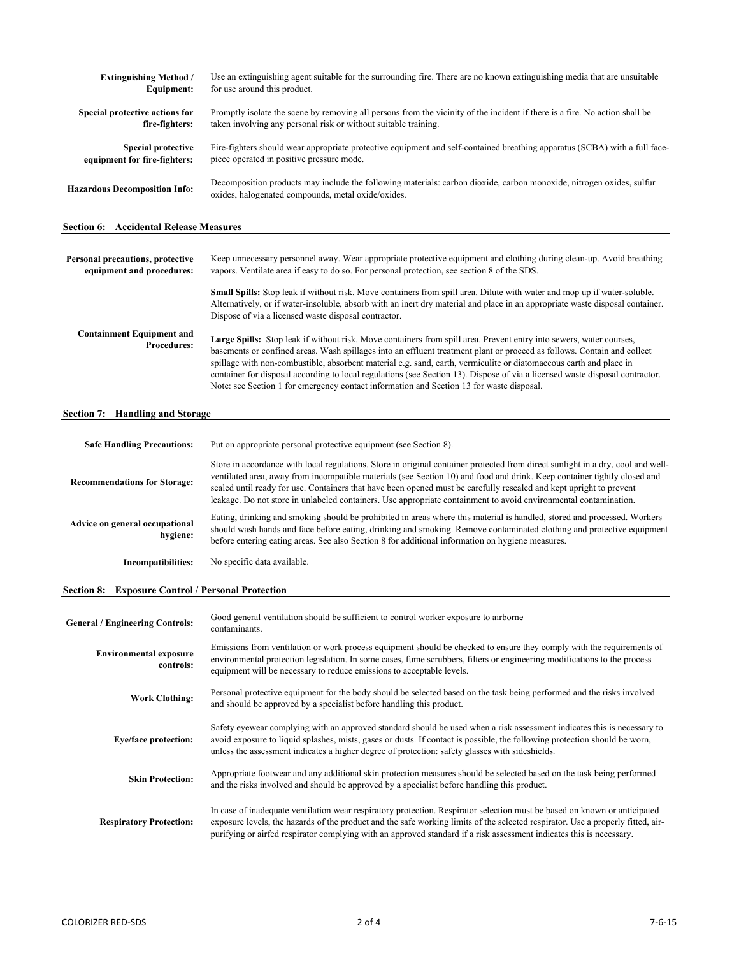| <b>Extinguishing Method /</b>                 | Use an extinguishing agent suitable for the surrounding fire. There are no known extinguishing media that are unsuitable                                                   |
|-----------------------------------------------|----------------------------------------------------------------------------------------------------------------------------------------------------------------------------|
| Equipment:                                    | for use around this product.                                                                                                                                               |
| Special protective actions for                | Promptly isolate the scene by removing all persons from the vicinity of the incident if there is a fire. No action shall be                                                |
| fire-fighters:                                | taken involving any personal risk or without suitable training.                                                                                                            |
| <b>Special protective</b>                     | Fire-fighters should wear appropriate protective equipment and self-contained breathing apparatus (SCBA) with a full face-                                                 |
| equipment for fire-fighters:                  | piece operated in positive pressure mode.                                                                                                                                  |
| <b>Hazardous Decomposition Info:</b>          | Decomposition products may include the following materials: carbon dioxide, carbon monoxide, nitrogen oxides, sulfur<br>oxides, halogenated compounds, metal oxide/oxides. |
| <b>Section 6: Accidental Release Measures</b> |                                                                                                                                                                            |

| Personal precautions, protective<br>equipment and procedures: | Keep unnecessary personnel away. Wear appropriate protective equipment and clothing during clean-up. Avoid breathing<br>vapors. Ventilate area if easy to do so. For personal protection, see section 8 of the SDS.                                                                                                                                                                                                                                                                                                                                                                              |
|---------------------------------------------------------------|--------------------------------------------------------------------------------------------------------------------------------------------------------------------------------------------------------------------------------------------------------------------------------------------------------------------------------------------------------------------------------------------------------------------------------------------------------------------------------------------------------------------------------------------------------------------------------------------------|
|                                                               | <b>Small Spills:</b> Stop leak if without risk. Move containers from spill area. Dilute with water and mop up if water-soluble.<br>Alternatively, or if water-insoluble, absorb with an inert dry material and place in an appropriate waste disposal container.<br>Dispose of via a licensed waste disposal contractor.                                                                                                                                                                                                                                                                         |
| <b>Containment Equipment and</b><br><b>Procedures:</b>        | Large Spills: Stop leak if without risk. Move containers from spill area. Prevent entry into sewers, water courses,<br>basements or confined areas. Wash spillages into an effluent treatment plant or proceed as follows. Contain and collect<br>spillage with non-combustible, absorbent material e.g. sand, earth, vermiculite or diatomaceous earth and place in<br>container for disposal according to local regulations (see Section 13). Dispose of via a licensed waste disposal contractor.<br>Note: see Section 1 for emergency contact information and Section 13 for waste disposal. |

# **Section 7: Handling and Storage**

| <b>Safe Handling Precautions:</b>          | Put on appropriate personal protective equipment (see Section 8).                                                                                                                                                                                                                                                                                                                                                                                                                                      |  |  |  |  |
|--------------------------------------------|--------------------------------------------------------------------------------------------------------------------------------------------------------------------------------------------------------------------------------------------------------------------------------------------------------------------------------------------------------------------------------------------------------------------------------------------------------------------------------------------------------|--|--|--|--|
| <b>Recommendations for Storage:</b>        | Store in accordance with local regulations. Store in original container protected from direct sunlight in a dry, cool and well-<br>ventilated area, away from incompatible materials (see Section 10) and food and drink. Keep container tightly closed and<br>sealed until ready for use. Containers that have been opened must be carefully resealed and kept upright to prevent<br>leakage. Do not store in unlabeled containers. Use appropriate containment to avoid environmental contamination. |  |  |  |  |
| Advice on general occupational<br>hygiene: | Eating, drinking and smoking should be prohibited in areas where this material is handled, stored and processed. Workers<br>should wash hands and face before eating, drinking and smoking. Remove contaminated clothing and protective equipment<br>before entering eating areas. See also Section 8 for additional information on hygiene measures.                                                                                                                                                  |  |  |  |  |
| <b>Incompatibilities:</b>                  | No specific data available.                                                                                                                                                                                                                                                                                                                                                                                                                                                                            |  |  |  |  |

# **Section 8: Exposure Control / Personal Protection**

| <b>General / Engineering Controls:</b>     | Good general ventilation should be sufficient to control worker exposure to airborne<br>contaminants.                                                                                                                                                                                                                                                                                |
|--------------------------------------------|--------------------------------------------------------------------------------------------------------------------------------------------------------------------------------------------------------------------------------------------------------------------------------------------------------------------------------------------------------------------------------------|
| <b>Environmental exposure</b><br>controls: | Emissions from ventilation or work process equipment should be checked to ensure they comply with the requirements of<br>environmental protection legislation. In some cases, fume scrubbers, filters or engineering modifications to the process<br>equipment will be necessary to reduce emissions to acceptable levels.                                                           |
| <b>Work Clothing:</b>                      | Personal protective equipment for the body should be selected based on the task being performed and the risks involved<br>and should be approved by a specialist before handling this product.                                                                                                                                                                                       |
| <b>Eye/face protection:</b>                | Safety eyewear complying with an approved standard should be used when a risk assessment indicates this is necessary to<br>avoid exposure to liquid splashes, mists, gases or dusts. If contact is possible, the following protection should be worn,<br>unless the assessment indicates a higher degree of protection: safety glasses with sideshields.                             |
| <b>Skin Protection:</b>                    | Appropriate footwear and any additional skin protection measures should be selected based on the task being performed<br>and the risks involved and should be approved by a specialist before handling this product.                                                                                                                                                                 |
| <b>Respiratory Protection:</b>             | In case of inadequate ventilation wear respiratory protection. Respirator selection must be based on known or anticipated<br>exposure levels, the hazards of the product and the safe working limits of the selected respirator. Use a properly fitted, air-<br>purifying or airfed respirator complying with an approved standard if a risk assessment indicates this is necessary. |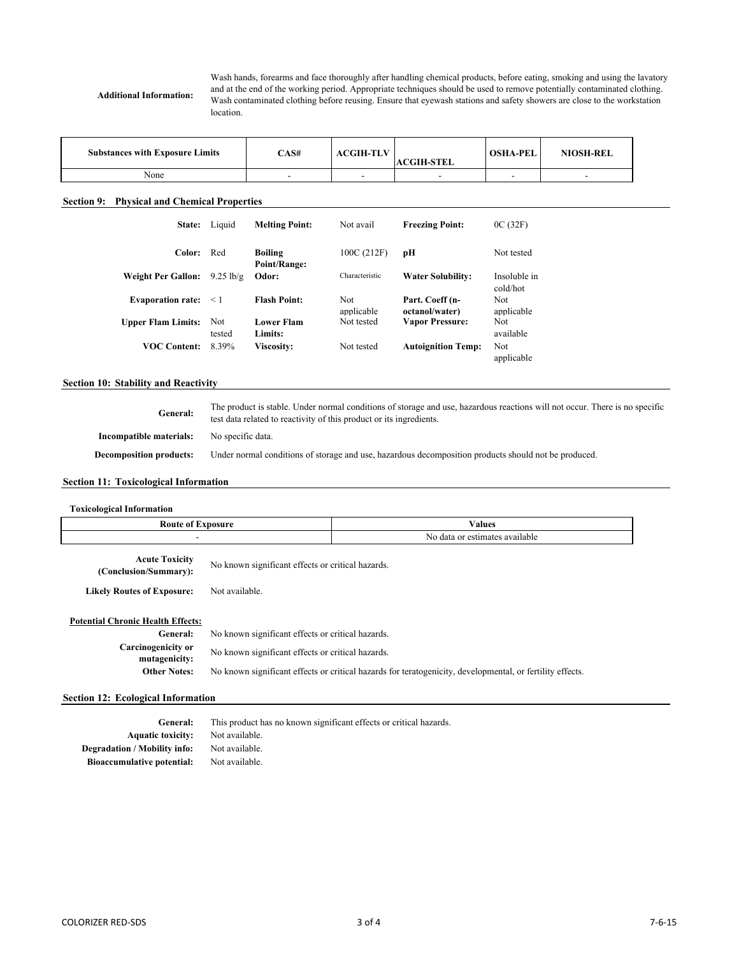**Additional Information:**

Wash hands, forearms and face thoroughly after handling chemical products, before eating, smoking and using the lavatory and at the end of the working period. Appropriate techniques should be used to remove potentially contaminated clothing. Wash contaminated clothing before reusing. Ensure that eyewash stations and safety showers are close to the workstation location.

| <b>Substances with Exposure Limits</b> | CAS# | <b>ACGIH-TLV</b> | <b>ACGIH-STEL</b> | <b>OSHA-PEL</b> | <b>NIOSH-REL</b> |
|----------------------------------------|------|------------------|-------------------|-----------------|------------------|
| None                                   |      |                  |                   |                 |                  |

# **Section 9: Physical and Chemical Properties**

| <b>State:</b>             | Liquid              | <b>Melting Point:</b>          | Not avail         | <b>Freezing Point:</b>            | OC(32F)                  |
|---------------------------|---------------------|--------------------------------|-------------------|-----------------------------------|--------------------------|
| Color:                    | Red                 | <b>Boiling</b><br>Point/Range: | 100C (212F)       | pН                                | Not tested               |
| <b>Weight Per Gallon:</b> | $9.25 \text{ lb/g}$ | Odor:                          | Characteristic    | <b>Water Solubility:</b>          | Insoluble in<br>cold/hot |
| <b>Evaporation rate:</b>  | $\leq 1$            | <b>Flash Point:</b>            | Not<br>applicable | Part. Coeff (n-<br>octanol/water) | Not<br>applicable        |
| <b>Upper Flam Limits:</b> | Not<br>tested       | <b>Lower Flam</b><br>Limits:   | Not tested        | <b>Vapor Pressure:</b>            | Not<br>available         |
| <b>VOC Content:</b>       | 8.39%               | <b>Viscosity:</b>              | Not tested        | <b>Autoignition Temp:</b>         | Not<br>applicable        |

# **Section 10: Stability and Reactivity**

**General: Incompatible materials: Decomposition products:** The product is stable. Under normal conditions of storage and use, hazardous reactions will not occur. There is no specific test data related to reactivity of this product or its ingredients. No specific data. Under normal conditions of storage and use, hazardous decomposition products should not be produced.

# **Section 11: Toxicological Information**

| <b>Toxicological Information</b>               |                                                   |                                                                                                           |
|------------------------------------------------|---------------------------------------------------|-----------------------------------------------------------------------------------------------------------|
| <b>Route of Exposure</b>                       |                                                   | <b>Values</b>                                                                                             |
|                                                |                                                   | No data or estimates available                                                                            |
| <b>Acute Toxicity</b><br>(Conclusion/Summary): | No known significant effects or critical hazards. |                                                                                                           |
| <b>Likely Routes of Exposure:</b>              | Not available.                                    |                                                                                                           |
| <b>Potential Chronic Health Effects:</b>       |                                                   |                                                                                                           |
| General:                                       | No known significant effects or critical hazards. |                                                                                                           |
| <b>Carcinogenicity or</b><br>mutagenicity:     | No known significant effects or critical hazards. |                                                                                                           |
| <b>Other Notes:</b>                            |                                                   | No known significant effects or critical hazards for teratogenicity, developmental, or fertility effects. |
|                                                |                                                   |                                                                                                           |

# **Section 12: Ecological Information**

**Aquatic toxicity:** Not available. **Degradation / Mobility info:** Not available. **Bioaccumulative potential:** Not available. **General:** This product has no known significant effects or critical hazards.